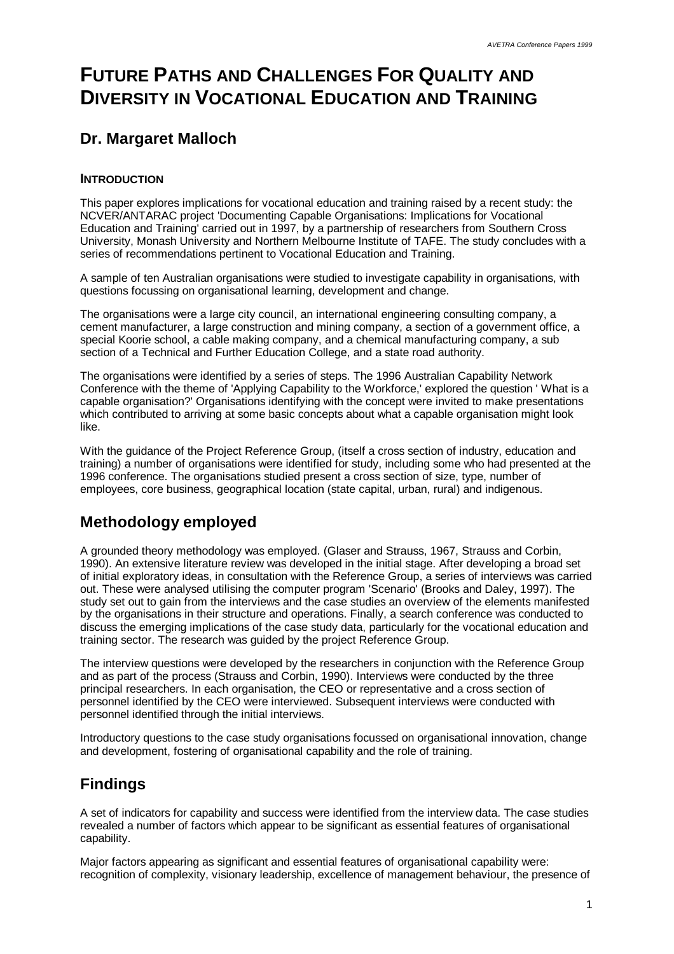# **FUTURE PATHS AND CHALLENGES FOR QUALITY AND DIVERSITY IN VOCATIONAL EDUCATION AND TRAINING**

### **Dr. Margaret Malloch**

#### **INTRODUCTION**

This paper explores implications for vocational education and training raised by a recent study: the NCVER/ANTARAC project 'Documenting Capable Organisations: Implications for Vocational Education and Training' carried out in 1997, by a partnership of researchers from Southern Cross University, Monash University and Northern Melbourne Institute of TAFE. The study concludes with a series of recommendations pertinent to Vocational Education and Training.

A sample of ten Australian organisations were studied to investigate capability in organisations, with questions focussing on organisational learning, development and change.

The organisations were a large city council, an international engineering consulting company, a cement manufacturer, a large construction and mining company, a section of a government office, a special Koorie school, a cable making company, and a chemical manufacturing company, a sub section of a Technical and Further Education College, and a state road authority.

The organisations were identified by a series of steps. The 1996 Australian Capability Network Conference with the theme of 'Applying Capability to the Workforce,' explored the question ' What is a capable organisation?' Organisations identifying with the concept were invited to make presentations which contributed to arriving at some basic concepts about what a capable organisation might look like.

With the guidance of the Project Reference Group, (itself a cross section of industry, education and training) a number of organisations were identified for study, including some who had presented at the 1996 conference. The organisations studied present a cross section of size, type, number of employees, core business, geographical location (state capital, urban, rural) and indigenous.

## **Methodology employed**

A grounded theory methodology was employed. (Glaser and Strauss, 1967, Strauss and Corbin, 1990). An extensive literature review was developed in the initial stage. After developing a broad set of initial exploratory ideas, in consultation with the Reference Group, a series of interviews was carried out. These were analysed utilising the computer program 'Scenario' (Brooks and Daley, 1997). The study set out to gain from the interviews and the case studies an overview of the elements manifested by the organisations in their structure and operations. Finally, a search conference was conducted to discuss the emerging implications of the case study data, particularly for the vocational education and training sector. The research was guided by the project Reference Group.

The interview questions were developed by the researchers in conjunction with the Reference Group and as part of the process (Strauss and Corbin, 1990). Interviews were conducted by the three principal researchers. In each organisation, the CEO or representative and a cross section of personnel identified by the CEO were interviewed. Subsequent interviews were conducted with personnel identified through the initial interviews.

Introductory questions to the case study organisations focussed on organisational innovation, change and development, fostering of organisational capability and the role of training.

## **Findings**

A set of indicators for capability and success were identified from the interview data. The case studies revealed a number of factors which appear to be significant as essential features of organisational capability.

Major factors appearing as significant and essential features of organisational capability were: recognition of complexity, visionary leadership, excellence of management behaviour, the presence of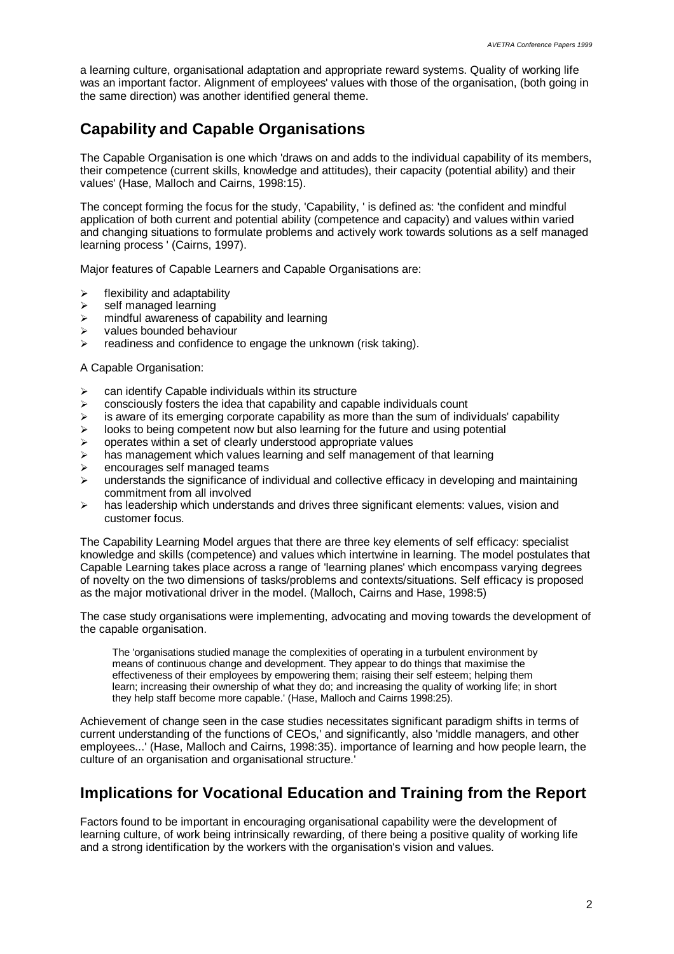a learning culture, organisational adaptation and appropriate reward systems. Quality of working life was an important factor. Alignment of employees' values with those of the organisation, (both going in the same direction) was another identified general theme.

### **Capability and Capable Organisations**

The Capable Organisation is one which 'draws on and adds to the individual capability of its members, their competence (current skills, knowledge and attitudes), their capacity (potential ability) and their values' (Hase, Malloch and Cairns, 1998:15).

The concept forming the focus for the study, 'Capability, ' is defined as: 'the confident and mindful application of both current and potential ability (competence and capacity) and values within varied and changing situations to formulate problems and actively work towards solutions as a self managed learning process ' (Cairns, 1997).

Major features of Capable Learners and Capable Organisations are:

- $\triangleright$  flexibility and adaptability
- $\ge$  self managed learning
- $\triangleright$  mindful awareness of capability and learning
- $\triangleright$  values bounded behaviour
- $\triangleright$  readiness and confidence to engage the unknown (risk taking).

A Capable Organisation:

- $\ge$  can identify Capable individuals within its structure
- $\triangleright$  consciously fosters the idea that capability and capable individuals count
- $\geq$  is aware of its emerging corporate capability as more than the sum of individuals' capability
- $\geq$  looks to being competent now but also learning for the future and using potential
- $\geq$  operates within a set of clearly understood appropriate values
- $\geq$  has management which values learning and self management of that learning
- $\triangleright$  encourages self managed teams
- understands the significance of individual and collective efficacy in developing and maintaining commitment from all involved
- $\triangleright$  has leadership which understands and drives three significant elements: values, vision and customer focus.

The Capability Learning Model argues that there are three key elements of self efficacy: specialist knowledge and skills (competence) and values which intertwine in learning. The model postulates that Capable Learning takes place across a range of 'learning planes' which encompass varying degrees of novelty on the two dimensions of tasks/problems and contexts/situations. Self efficacy is proposed as the major motivational driver in the model. (Malloch, Cairns and Hase, 1998:5)

The case study organisations were implementing, advocating and moving towards the development of the capable organisation.

The 'organisations studied manage the complexities of operating in a turbulent environment by means of continuous change and development. They appear to do things that maximise the effectiveness of their employees by empowering them; raising their self esteem; helping them learn; increasing their ownership of what they do; and increasing the quality of working life; in short they help staff become more capable.' (Hase, Malloch and Cairns 1998:25).

Achievement of change seen in the case studies necessitates significant paradigm shifts in terms of current understanding of the functions of CEOs,' and significantly, also 'middle managers, and other employees...' (Hase, Malloch and Cairns, 1998:35). importance of learning and how people learn, the culture of an organisation and organisational structure.'

### **Implications for Vocational Education and Training from the Report**

Factors found to be important in encouraging organisational capability were the development of learning culture, of work being intrinsically rewarding, of there being a positive quality of working life and a strong identification by the workers with the organisation's vision and values.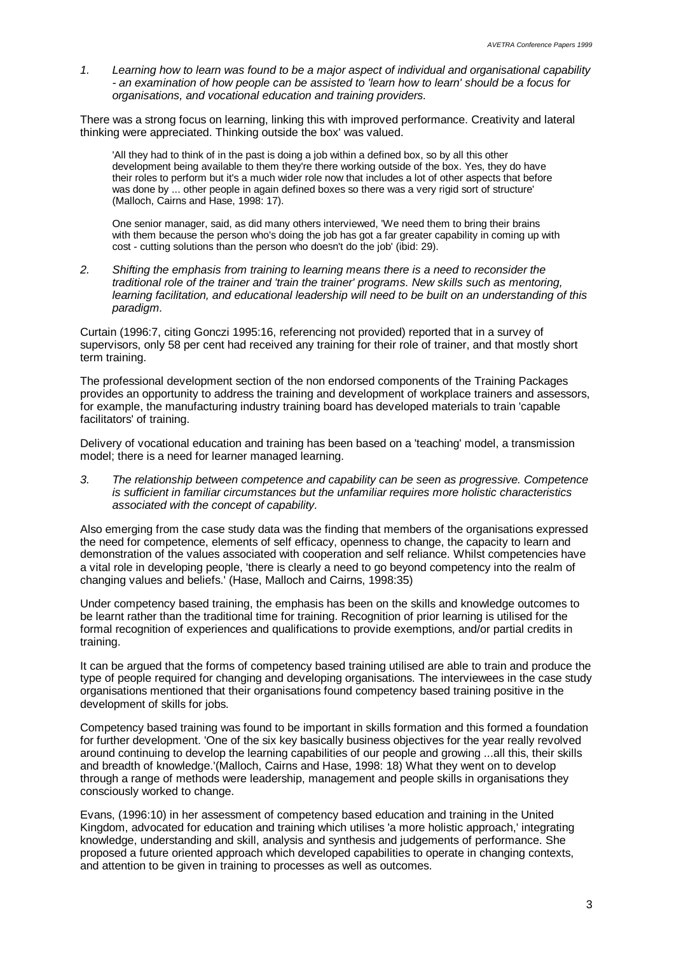*1. Learning how to learn was found to be a major aspect of individual and organisational capability - an examination of how people can be assisted to 'learn how to learn' should be a focus for organisations, and vocational education and training providers.*

There was a strong focus on learning, linking this with improved performance. Creativity and lateral thinking were appreciated. Thinking outside the box' was valued.

'All they had to think of in the past is doing a job within a defined box, so by all this other development being available to them they're there working outside of the box. Yes, they do have their roles to perform but it's a much wider role now that includes a lot of other aspects that before was done by ... other people in again defined boxes so there was a very rigid sort of structure' (Malloch, Cairns and Hase, 1998: 17).

One senior manager, said, as did many others interviewed, 'We need them to bring their brains with them because the person who's doing the job has got a far greater capability in coming up with cost - cutting solutions than the person who doesn't do the job' (ibid: 29).

*2. Shifting the emphasis from training to learning means there is a need to reconsider the traditional role of the trainer and 'train the trainer' programs. New skills such as mentoring, learning facilitation, and educational leadership will need to be built on an understanding of this paradigm.*

Curtain (1996:7, citing Gonczi 1995:16, referencing not provided) reported that in a survey of supervisors, only 58 per cent had received any training for their role of trainer, and that mostly short term training.

The professional development section of the non endorsed components of the Training Packages provides an opportunity to address the training and development of workplace trainers and assessors, for example, the manufacturing industry training board has developed materials to train 'capable facilitators' of training.

Delivery of vocational education and training has been based on a 'teaching' model, a transmission model; there is a need for learner managed learning.

*3. The relationship between competence and capability can be seen as progressive. Competence is sufficient in familiar circumstances but the unfamiliar requires more holistic characteristics associated with the concept of capability.*

Also emerging from the case study data was the finding that members of the organisations expressed the need for competence, elements of self efficacy, openness to change, the capacity to learn and demonstration of the values associated with cooperation and self reliance. Whilst competencies have a vital role in developing people, 'there is clearly a need to go beyond competency into the realm of changing values and beliefs.' (Hase, Malloch and Cairns, 1998:35)

Under competency based training, the emphasis has been on the skills and knowledge outcomes to be learnt rather than the traditional time for training. Recognition of prior learning is utilised for the formal recognition of experiences and qualifications to provide exemptions, and/or partial credits in training.

It can be argued that the forms of competency based training utilised are able to train and produce the type of people required for changing and developing organisations. The interviewees in the case study organisations mentioned that their organisations found competency based training positive in the development of skills for jobs.

Competency based training was found to be important in skills formation and this formed a foundation for further development. 'One of the six key basically business objectives for the year really revolved around continuing to develop the learning capabilities of our people and growing ...all this, their skills and breadth of knowledge.'(Malloch, Cairns and Hase, 1998: 18) What they went on to develop through a range of methods were leadership, management and people skills in organisations they consciously worked to change.

Evans, (1996:10) in her assessment of competency based education and training in the United Kingdom, advocated for education and training which utilises 'a more holistic approach,' integrating knowledge, understanding and skill, analysis and synthesis and judgements of performance. She proposed a future oriented approach which developed capabilities to operate in changing contexts, and attention to be given in training to processes as well as outcomes.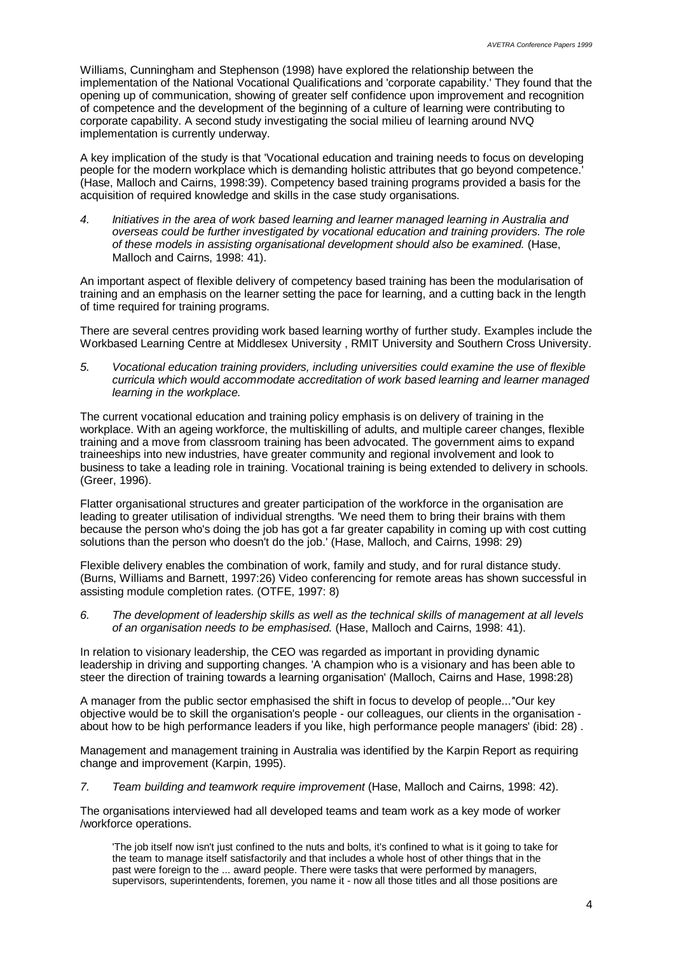Williams, Cunningham and Stephenson (1998) have explored the relationship between the implementation of the National Vocational Qualifications and 'corporate capability.' They found that the opening up of communication, showing of greater self confidence upon improvement and recognition of competence and the development of the beginning of a culture of learning were contributing to corporate capability. A second study investigating the social milieu of learning around NVQ implementation is currently underway.

A key implication of the study is that 'Vocational education and training needs to focus on developing people for the modern workplace which is demanding holistic attributes that go beyond competence.' (Hase, Malloch and Cairns, 1998:39). Competency based training programs provided a basis for the acquisition of required knowledge and skills in the case study organisations.

*4. Initiatives in the area of work based learning and learner managed learning in Australia and overseas could be further investigated by vocational education and training providers. The role of these models in assisting organisational development should also be examined.* (Hase, Malloch and Cairns, 1998: 41).

An important aspect of flexible delivery of competency based training has been the modularisation of training and an emphasis on the learner setting the pace for learning, and a cutting back in the length of time required for training programs.

There are several centres providing work based learning worthy of further study. Examples include the Workbased Learning Centre at Middlesex University , RMIT University and Southern Cross University.

*5. Vocational education training providers, including universities could examine the use of flexible curricula which would accommodate accreditation of work based learning and learner managed learning in the workplace.*

The current vocational education and training policy emphasis is on delivery of training in the workplace. With an ageing workforce, the multiskilling of adults, and multiple career changes, flexible training and a move from classroom training has been advocated. The government aims to expand traineeships into new industries, have greater community and regional involvement and look to business to take a leading role in training. Vocational training is being extended to delivery in schools. (Greer, 1996).

Flatter organisational structures and greater participation of the workforce in the organisation are leading to greater utilisation of individual strengths. 'We need them to bring their brains with them because the person who's doing the job has got a far greater capability in coming up with cost cutting solutions than the person who doesn't do the job.' (Hase, Malloch, and Cairns, 1998: 29)

Flexible delivery enables the combination of work, family and study, and for rural distance study. (Burns, Williams and Barnett, 1997:26) Video conferencing for remote areas has shown successful in assisting module completion rates. (OTFE, 1997: 8)

*6. The development of leadership skills as well as the technical skills of management at all levels of an organisation needs to be emphasised.* (Hase, Malloch and Cairns, 1998: 41).

In relation to visionary leadership, the CEO was regarded as important in providing dynamic leadership in driving and supporting changes. 'A champion who is a visionary and has been able to steer the direction of training towards a learning organisation' (Malloch, Cairns and Hase, 1998:28)

A manager from the public sector emphasised the shift in focus to develop of people...*'*'Our key objective would be to skill the organisation's people - our colleagues, our clients in the organisation about how to be high performance leaders if you like, high performance people managers' (ibid: 28) .

Management and management training in Australia was identified by the Karpin Report as requiring change and improvement (Karpin, 1995).

*7. Team building and teamwork require improvement* (Hase, Malloch and Cairns, 1998: 42).

The organisations interviewed had all developed teams and team work as a key mode of worker /workforce operations.

'The job itself now isn't just confined to the nuts and bolts, it's confined to what is it going to take for the team to manage itself satisfactorily and that includes a whole host of other things that in the past were foreign to the ... award people. There were tasks that were performed by managers, supervisors, superintendents, foremen, you name it - now all those titles and all those positions are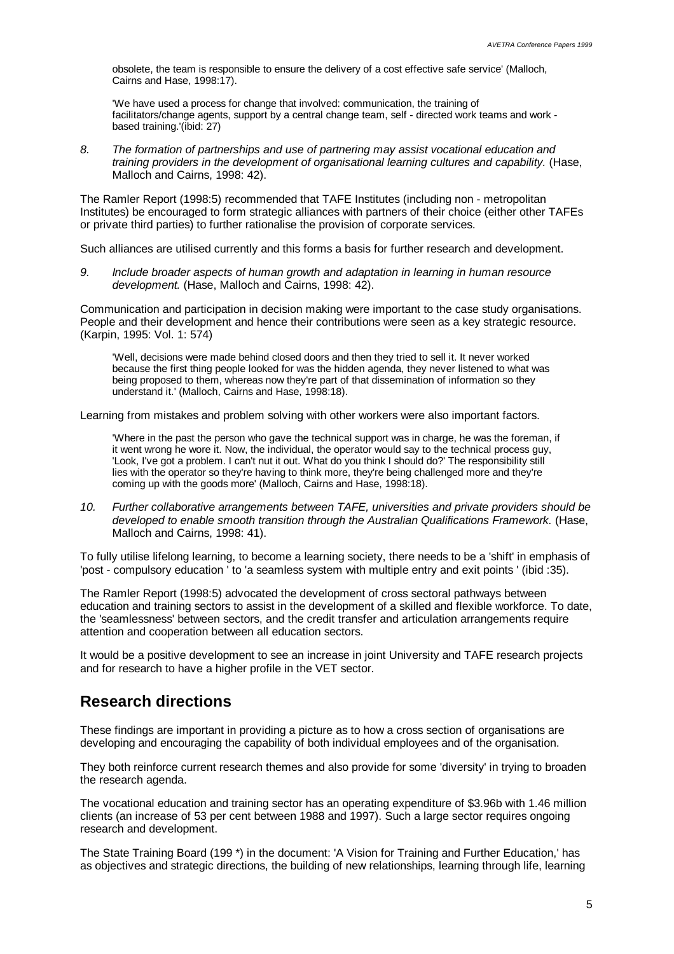obsolete, the team is responsible to ensure the delivery of a cost effective safe service' (Malloch, Cairns and Hase, 1998:17).

'We have used a process for change that involved: communication, the training of facilitators/change agents, support by a central change team, self - directed work teams and work based training.'(ibid: 27)

*8. The formation of partnerships and use of partnering may assist vocational education and training providers in the development of organisational learning cultures and capability.* (Hase, Malloch and Cairns, 1998: 42).

The Ramler Report (1998:5) recommended that TAFE Institutes (including non - metropolitan Institutes) be encouraged to form strategic alliances with partners of their choice (either other TAFEs or private third parties) to further rationalise the provision of corporate services.

Such alliances are utilised currently and this forms a basis for further research and development.

*9. Include broader aspects of human growth and adaptation in learning in human resource development.* (Hase, Malloch and Cairns, 1998: 42).

Communication and participation in decision making were important to the case study organisations. People and their development and hence their contributions were seen as a key strategic resource. (Karpin, 1995: Vol. 1: 574)

'Well, decisions were made behind closed doors and then they tried to sell it. It never worked because the first thing people looked for was the hidden agenda, they never listened to what was being proposed to them, whereas now they're part of that dissemination of information so they understand it.' (Malloch, Cairns and Hase, 1998:18).

Learning from mistakes and problem solving with other workers were also important factors.

'Where in the past the person who gave the technical support was in charge, he was the foreman, if it went wrong he wore it. Now, the individual, the operator would say to the technical process guy, 'Look, I've got a problem. I can't nut it out. What do you think I should do?' The responsibility still lies with the operator so they're having to think more, they're being challenged more and they're coming up with the goods more' (Malloch, Cairns and Hase, 1998:18).

*10. Further collaborative arrangements between TAFE, universities and private providers should be developed to enable smooth transition through the Australian Qualifications Framework.* (Hase, Malloch and Cairns, 1998: 41).

To fully utilise lifelong learning, to become a learning society, there needs to be a 'shift' in emphasis of 'post - compulsory education ' to 'a seamless system with multiple entry and exit points ' (ibid :35).

The Ramler Report (1998:5) advocated the development of cross sectoral pathways between education and training sectors to assist in the development of a skilled and flexible workforce. To date, the 'seamlessness' between sectors, and the credit transfer and articulation arrangements require attention and cooperation between all education sectors.

It would be a positive development to see an increase in joint University and TAFE research projects and for research to have a higher profile in the VET sector.

#### **Research directions**

These findings are important in providing a picture as to how a cross section of organisations are developing and encouraging the capability of both individual employees and of the organisation.

They both reinforce current research themes and also provide for some 'diversity' in trying to broaden the research agenda.

The vocational education and training sector has an operating expenditure of \$3.96b with 1.46 million clients (an increase of 53 per cent between 1988 and 1997). Such a large sector requires ongoing research and development.

The State Training Board (199 \*) in the document: 'A Vision for Training and Further Education,' has as objectives and strategic directions, the building of new relationships, learning through life, learning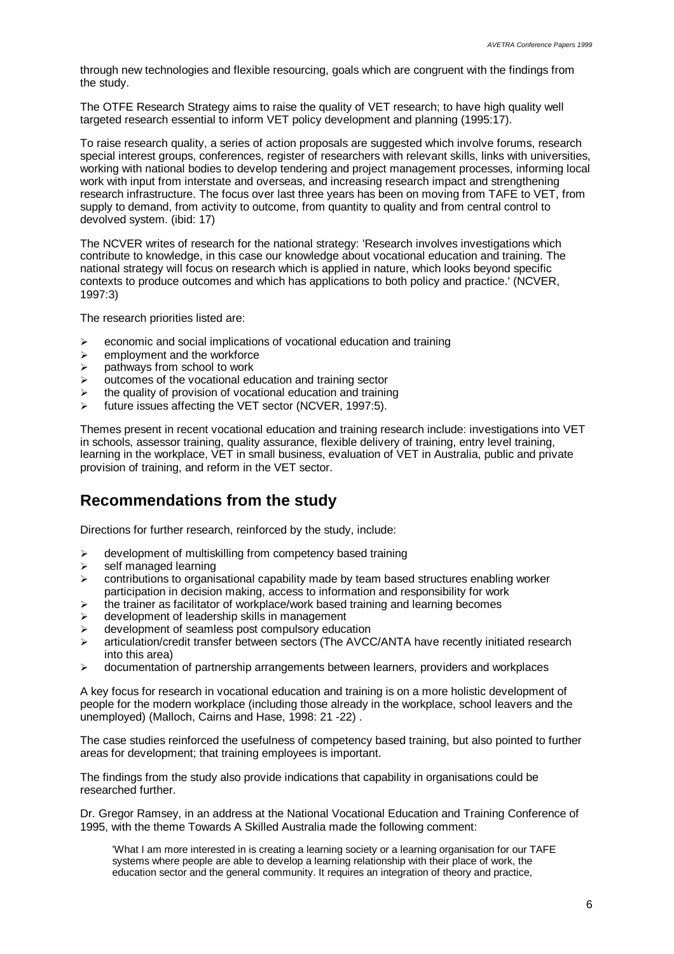through new technologies and flexible resourcing, goals which are congruent with the findings from the study.

The OTFE Research Strategy aims to raise the quality of VET research; to have high quality well targeted research essential to inform VET policy development and planning (1995:17).

To raise research quality, a series of action proposals are suggested which involve forums, research special interest groups, conferences, register of researchers with relevant skills, links with universities, working with national bodies to develop tendering and project management processes, informing local work with input from interstate and overseas, and increasing research impact and strengthening research infrastructure. The focus over last three years has been on moving from TAFE to VET, from supply to demand, from activity to outcome, from quantity to quality and from central control to devolved system. (ibid: 17)

The NCVER writes of research for the national strategy: 'Research involves investigations which contribute to knowledge, in this case our knowledge about vocational education and training. The national strategy will focus on research which is applied in nature, which looks beyond specific contexts to produce outcomes and which has applications to both policy and practice.' (NCVER, 1997:3)

The research priorities listed are:

- $\geq$  economic and social implications of vocational education and training
- $\triangleright$  employment and the workforce
- $\triangleright$  pathways from school to work
- $\triangleright$  outcomes of the vocational education and training sector
- $\geq$  the quality of provision of vocational education and training
- future issues affecting the VET sector (NCVER, 1997:5).

Themes present in recent vocational education and training research include: investigations into VET in schools, assessor training, quality assurance, flexible delivery of training, entry level training, learning in the workplace, VET in small business, evaluation of VET in Australia, public and private provision of training, and reform in the VET sector.

### **Recommendations from the study**

Directions for further research, reinforced by the study, include:

- $\geq$  development of multiskilling from competency based training
- $\geq$  self managed learning
- $\geq$  contributions to organisational capability made by team based structures enabling worker participation in decision making, access to information and responsibility for work
- $\geq$  the trainer as facilitator of workplace/work based training and learning becomes
- $\triangleright$  development of leadership skills in management
- $\geq$  development of seamless post compulsory education
- $\geq$  articulation/credit transfer between sectors (The AVCC/ANTA have recently initiated research into this area)
- $\geq$  documentation of partnership arrangements between learners, providers and workplaces

A key focus for research in vocational education and training is on a more holistic development of people for the modern workplace (including those already in the workplace, school leavers and the unemployed) (Malloch, Cairns and Hase, 1998: 21 -22) .

The case studies reinforced the usefulness of competency based training, but also pointed to further areas for development; that training employees is important.

The findings from the study also provide indications that capability in organisations could be researched further.

Dr. Gregor Ramsey, in an address at the National Vocational Education and Training Conference of 1995, with the theme Towards A Skilled Australia made the following comment:

'What I am more interested in is creating a learning society or a learning organisation for our TAFE systems where people are able to develop a learning relationship with their place of work, the education sector and the general community. It requires an integration of theory and practice,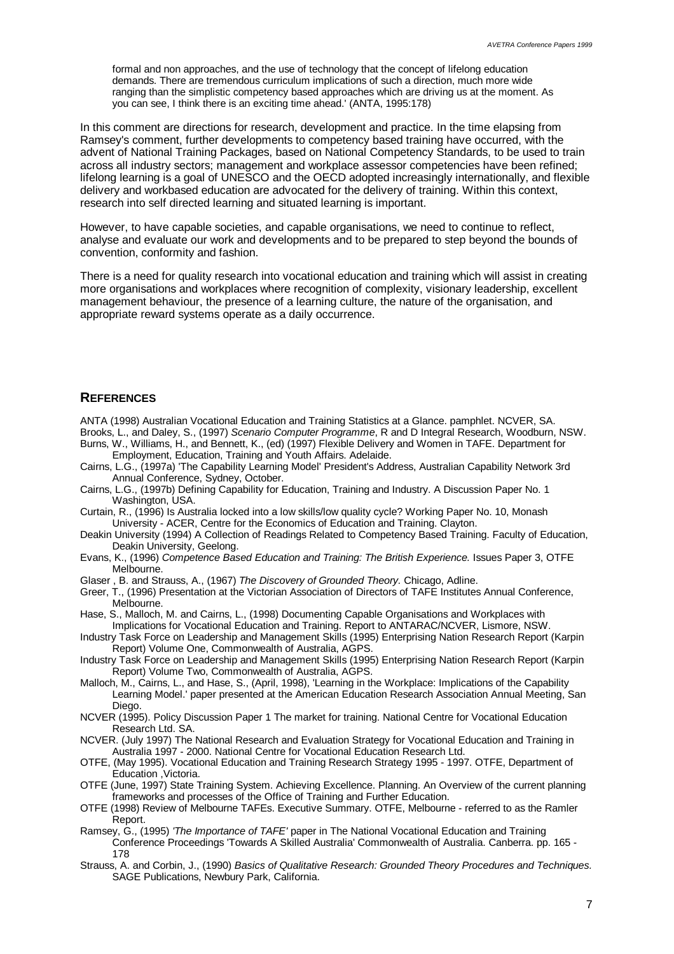formal and non approaches, and the use of technology that the concept of lifelong education demands. There are tremendous curriculum implications of such a direction, much more wide ranging than the simplistic competency based approaches which are driving us at the moment. As you can see, I think there is an exciting time ahead.' (ANTA, 1995:178)

In this comment are directions for research, development and practice. In the time elapsing from Ramsey's comment, further developments to competency based training have occurred, with the advent of National Training Packages, based on National Competency Standards, to be used to train across all industry sectors; management and workplace assessor competencies have been refined; lifelong learning is a goal of UNESCO and the OECD adopted increasingly internationally, and flexible delivery and workbased education are advocated for the delivery of training. Within this context, research into self directed learning and situated learning is important.

However, to have capable societies, and capable organisations, we need to continue to reflect, analyse and evaluate our work and developments and to be prepared to step beyond the bounds of convention, conformity and fashion.

There is a need for quality research into vocational education and training which will assist in creating more organisations and workplaces where recognition of complexity, visionary leadership, excellent management behaviour, the presence of a learning culture, the nature of the organisation, and appropriate reward systems operate as a daily occurrence.

#### **REFERENCES**

ANTA (1998) Australian Vocational Education and Training Statistics at a Glance. pamphlet. NCVER, SA. Brooks, L., and Daley, S., (1997) *Scenario Computer Programme*, R and D Integral Research, Woodburn, NSW. Burns, W., Williams, H., and Bennett, K., (ed) (1997) Flexible Delivery and Women in TAFE. Department for

- Employment, Education, Training and Youth Affairs. Adelaide.
- Cairns, L.G., (1997a) 'The Capability Learning Model' President's Address, Australian Capability Network 3rd Annual Conference, Sydney, October.
- Cairns, L.G., (1997b) Defining Capability for Education, Training and Industry. A Discussion Paper No. 1 Washington, USA.
- Curtain, R., (1996) Is Australia locked into a low skills/low quality cycle? Working Paper No. 10, Monash University - ACER, Centre for the Economics of Education and Training. Clayton.
- Deakin University (1994) A Collection of Readings Related to Competency Based Training. Faculty of Education, Deakin University, Geelong.
- Evans, K., (1996) *Competence Based Education and Training: The British Experience.* Issues Paper 3, OTFE Melbourne.
- Glaser , B. and Strauss, A., (1967) *The Discovery of Grounded Theory.* Chicago, Adline.
- Greer, T., (1996) Presentation at the Victorian Association of Directors of TAFE Institutes Annual Conference, Melbourne.
- Hase, S., Malloch, M. and Cairns, L., (1998) Documenting Capable Organisations and Workplaces with Implications for Vocational Education and Training. Report to ANTARAC/NCVER, Lismore, NSW.
- Industry Task Force on Leadership and Management Skills (1995) Enterprising Nation Research Report (Karpin Report) Volume One, Commonwealth of Australia, AGPS.
- Industry Task Force on Leadership and Management Skills (1995) Enterprising Nation Research Report (Karpin Report) Volume Two, Commonwealth of Australia, AGPS.
- Malloch, M., Cairns, L., and Hase, S., (April, 1998), 'Learning in the Workplace: Implications of the Capability Learning Model.' paper presented at the American Education Research Association Annual Meeting, San Diego.
- NCVER (1995). Policy Discussion Paper 1 The market for training. National Centre for Vocational Education Research Ltd. SA.
- NCVER. (July 1997) The National Research and Evaluation Strategy for Vocational Education and Training in Australia 1997 - 2000. National Centre for Vocational Education Research Ltd.
- OTFE, (May 1995). Vocational Education and Training Research Strategy 1995 1997. OTFE, Department of Education ,Victoria.
- OTFE (June, 1997) State Training System. Achieving Excellence. Planning. An Overview of the current planning frameworks and processes of the Office of Training and Further Education.
- OTFE (1998) Review of Melbourne TAFEs. Executive Summary. OTFE, Melbourne referred to as the Ramler Report.
- Ramsey, G., (1995) *'The Importance of TAFE'* paper in The National Vocational Education and Training Conference Proceedings 'Towards A Skilled Australia' Commonwealth of Australia. Canberra. pp. 165 - 178
- Strauss, A. and Corbin, J., (1990) *Basics of Qualitative Research: Grounded Theory Procedures and Techniques.* SAGE Publications, Newbury Park, California.